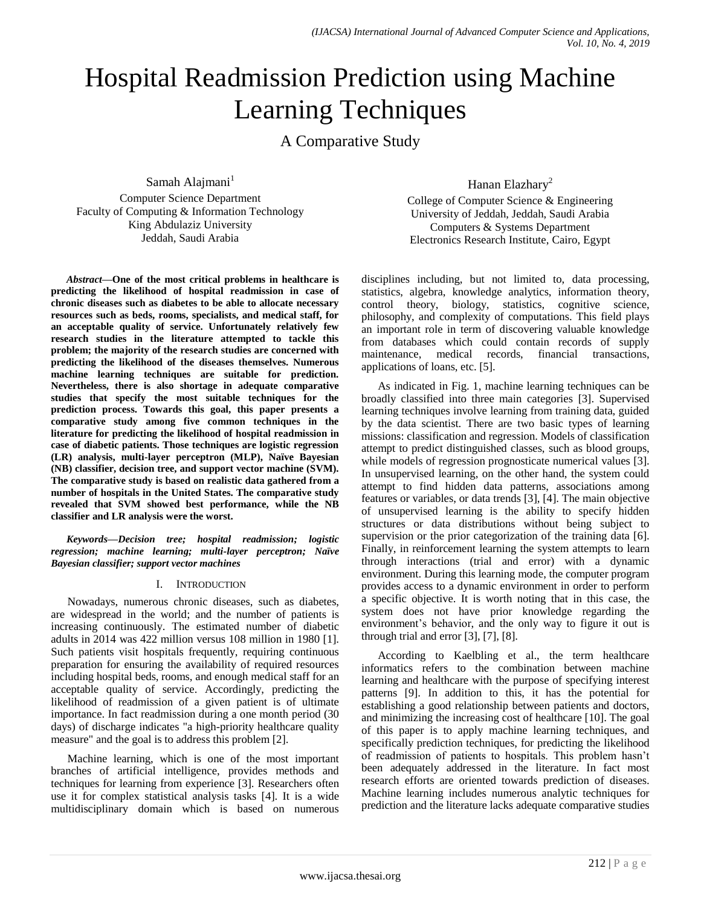# Hospital Readmission Prediction using Machine Learning Techniques

A Comparative Study

Samah Alajmani $<sup>1</sup>$ </sup>

Computer Science Department Faculty of Computing & Information Technology King Abdulaziz University Jeddah, Saudi Arabia

*Abstract***—One of the most critical problems in healthcare is predicting the likelihood of hospital readmission in case of chronic diseases such as diabetes to be able to allocate necessary resources such as beds, rooms, specialists, and medical staff, for an acceptable quality of service. Unfortunately relatively few research studies in the literature attempted to tackle this problem; the majority of the research studies are concerned with predicting the likelihood of the diseases themselves. Numerous machine learning techniques are suitable for prediction. Nevertheless, there is also shortage in adequate comparative studies that specify the most suitable techniques for the prediction process. Towards this goal, this paper presents a comparative study among five common techniques in the literature for predicting the likelihood of hospital readmission in case of diabetic patients. Those techniques are logistic regression (LR) analysis, multi-layer perceptron (MLP), Naïve Bayesian (NB) classifier, decision tree, and support vector machine (SVM). The comparative study is based on realistic data gathered from a number of hospitals in the United States. The comparative study revealed that SVM showed best performance, while the NB classifier and LR analysis were the worst.**

*Keywords—Decision tree; hospital readmission; logistic regression; machine learning; multi-layer perceptron; Naïve Bayesian classifier; support vector machines*

## I. INTRODUCTION

Nowadays, numerous chronic diseases, such as diabetes, are widespread in the world; and the number of patients is increasing continuously. The estimated number of diabetic adults in 2014 was 422 million versus 108 million in 1980 [1]. Such patients visit hospitals frequently, requiring continuous preparation for ensuring the availability of required resources including hospital beds, rooms, and enough medical staff for an acceptable quality of service. Accordingly, predicting the likelihood of readmission of a given patient is of ultimate importance. In fact readmission during a one month period (30 days) of discharge indicates "a high-priority healthcare quality measure" and the goal is to address this problem [2].

Machine learning, which is one of the most important branches of artificial intelligence, provides methods and techniques for learning from experience [3]. Researchers often use it for complex statistical analysis tasks [4]. It is a wide multidisciplinary domain which is based on numerous Hanan Elazhary<sup>2</sup>

College of Computer Science & Engineering University of Jeddah, Jeddah, Saudi Arabia Computers & Systems Department Electronics Research Institute, Cairo, Egypt

disciplines including, but not limited to, data processing, statistics, algebra, knowledge analytics, information theory, control theory, biology, statistics, cognitive science, philosophy, and complexity of computations. This field plays an important role in term of discovering valuable knowledge from databases which could contain records of supply maintenance, medical records, financial transactions, applications of loans, etc. [5].

As indicated in Fig. 1, machine learning techniques can be broadly classified into three main categories [3]. Supervised learning techniques involve learning from training data, guided by the data scientist. There are two basic types of learning missions: classification and regression. Models of classification attempt to predict distinguished classes, such as blood groups, while models of regression prognosticate numerical values [3]. In unsupervised learning, on the other hand, the system could attempt to find hidden data patterns, associations among features or variables, or data trends [3], [4]. The main objective of unsupervised learning is the ability to specify hidden structures or data distributions without being subject to supervision or the prior categorization of the training data [6]. Finally, in reinforcement learning the system attempts to learn through interactions (trial and error) with a dynamic environment. During this learning mode, the computer program provides access to a dynamic environment in order to perform a specific objective. It is worth noting that in this case, the system does not have prior knowledge regarding the environment's behavior, and the only way to figure it out is through trial and error [3], [7], [8].

According to Kaelbling et al., the term healthcare informatics refers to the combination between machine learning and healthcare with the purpose of specifying interest patterns [9]. In addition to this, it has the potential for establishing a good relationship between patients and doctors, and minimizing the increasing cost of healthcare [10]. The goal of this paper is to apply machine learning techniques, and specifically prediction techniques, for predicting the likelihood of readmission of patients to hospitals. This problem hasn"t been adequately addressed in the literature. In fact most research efforts are oriented towards prediction of diseases. Machine learning includes numerous analytic techniques for prediction and the literature lacks adequate comparative studies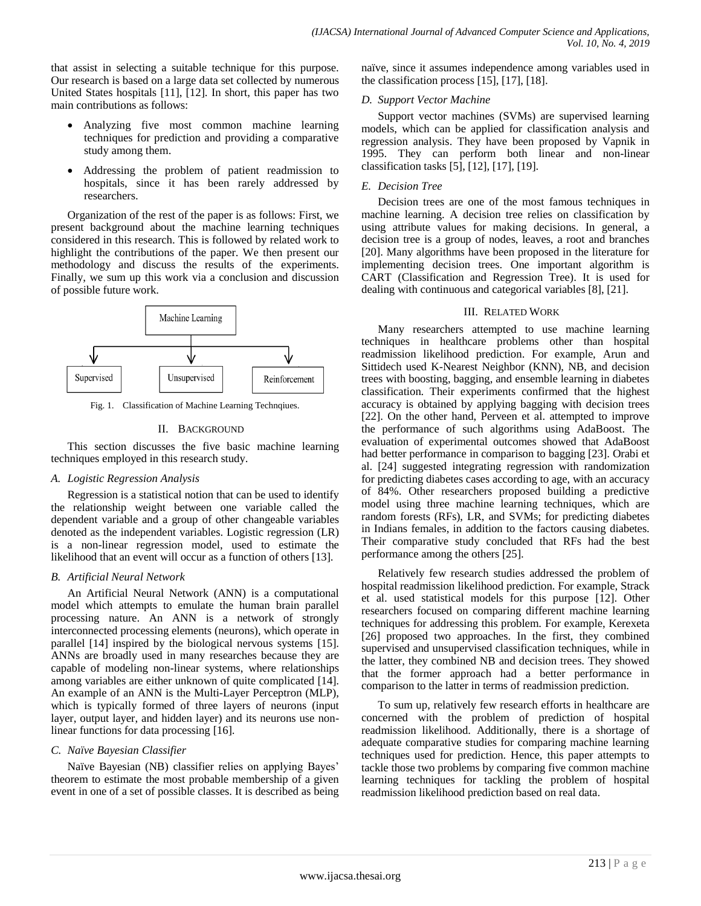that assist in selecting a suitable technique for this purpose. Our research is based on a large data set collected by numerous United States hospitals [11], [12]. In short, this paper has two main contributions as follows:

- Analyzing five most common machine learning techniques for prediction and providing a comparative study among them.
- Addressing the problem of patient readmission to hospitals, since it has been rarely addressed by researchers.

Organization of the rest of the paper is as follows: First, we present background about the machine learning techniques considered in this research. This is followed by related work to highlight the contributions of the paper. We then present our methodology and discuss the results of the experiments. Finally, we sum up this work via a conclusion and discussion of possible future work.



Fig. 1. Classification of Machine Learning Technqiues.

# II. BACKGROUND

This section discusses the five basic machine learning techniques employed in this research study.

## *A. Logistic Regression Analysis*

Regression is a statistical notion that can be used to identify the relationship weight between one variable called the dependent variable and a group of other changeable variables denoted as the independent variables. Logistic regression (LR) is a non-linear regression model, used to estimate the likelihood that an event will occur as a function of others [13].

## *B. Artificial Neural Network*

An Artificial Neural Network (ANN) is a computational model which attempts to emulate the human brain parallel processing nature. An ANN is a network of strongly interconnected processing elements (neurons), which operate in parallel [14] inspired by the biological nervous systems [15]. ANNs are broadly used in many researches because they are capable of modeling non-linear systems, where relationships among variables are either unknown of quite complicated [14]. An example of an ANN is the Multi-Layer Perceptron (MLP), which is typically formed of three layers of neurons (input layer, output layer, and hidden layer) and its neurons use nonlinear functions for data processing [16].

# *C. Naïve Bayesian Classifier*

Naïve Bayesian (NB) classifier relies on applying Bayes" theorem to estimate the most probable membership of a given event in one of a set of possible classes. It is described as being naïve, since it assumes independence among variables used in the classification process [15], [17], [18].

## *D. Support Vector Machine*

Support vector machines (SVMs) are supervised learning models, which can be applied for classification analysis and regression analysis. They have been proposed by Vapnik in 1995. They can perform both linear and non-linear classification tasks [5], [12], [17], [19].

# *E. Decision Tree*

Decision trees are one of the most famous techniques in machine learning. A decision tree relies on classification by using attribute values for making decisions. In general, a decision tree is a group of nodes, leaves, a root and branches [20]. Many algorithms have been proposed in the literature for implementing decision trees. One important algorithm is CART (Classification and Regression Tree). It is used for dealing with continuous and categorical variables [8], [21].

# III. RELATED WORK

Many researchers attempted to use machine learning techniques in healthcare problems other than hospital readmission likelihood prediction. For example, Arun and Sittidech used K-Nearest Neighbor (KNN), NB, and decision trees with boosting, bagging, and ensemble learning in diabetes classification. Their experiments confirmed that the highest accuracy is obtained by applying bagging with decision trees [22]. On the other hand, Perveen et al. attempted to improve the performance of such algorithms using AdaBoost. The evaluation of experimental outcomes showed that AdaBoost had better performance in comparison to bagging [23]. Orabi et al. [24] suggested integrating regression with randomization for predicting diabetes cases according to age, with an accuracy of 84%. Other researchers proposed building a predictive model using three machine learning techniques, which are random forests (RFs), LR, and SVMs; for predicting diabetes in Indians females, in addition to the factors causing diabetes. Their comparative study concluded that RFs had the best performance among the others [25].

Relatively few research studies addressed the problem of hospital readmission likelihood prediction. For example, Strack et al. used statistical models for this purpose [12]. Other researchers focused on comparing different machine learning techniques for addressing this problem. For example, Kerexeta [26] proposed two approaches. In the first, they combined supervised and unsupervised classification techniques, while in the latter, they combined NB and decision trees. They showed that the former approach had a better performance in comparison to the latter in terms of readmission prediction.

To sum up, relatively few research efforts in healthcare are concerned with the problem of prediction of hospital readmission likelihood. Additionally, there is a shortage of adequate comparative studies for comparing machine learning techniques used for prediction. Hence, this paper attempts to tackle those two problems by comparing five common machine learning techniques for tackling the problem of hospital readmission likelihood prediction based on real data.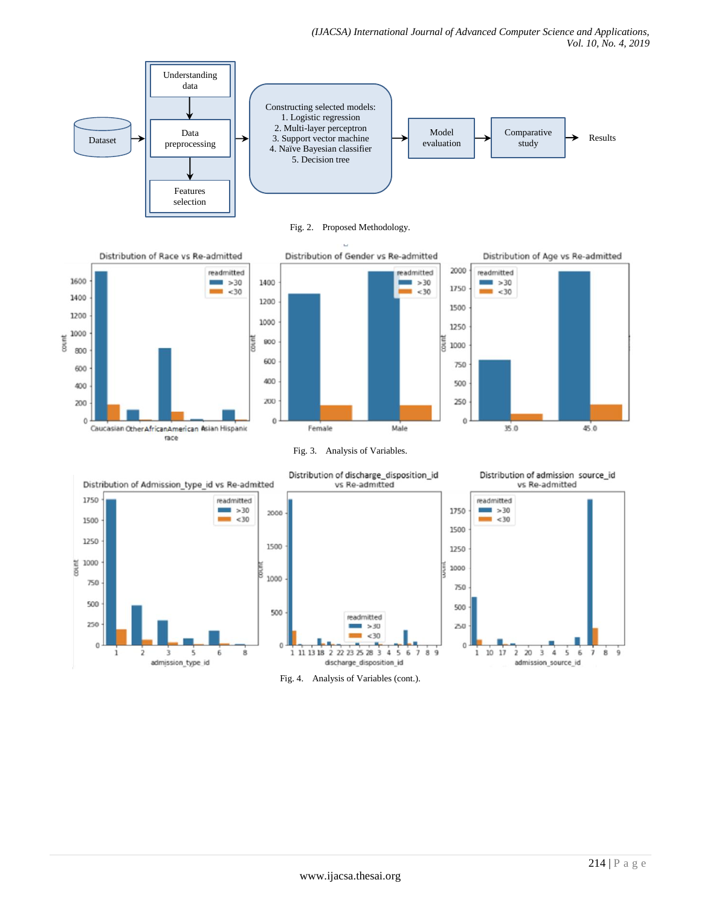

Fig. 2. Proposed Methodology.



Fig. 4. Analysis of Variables (cont.).

discharge\_disposition\_id

 $\dot{\mathbf{s}}$  $\overline{6}$ 

1 11 13 18 2 22 23 25 28 3 4

 $\Omega$ 

 $\overline{1}$  $1017$  $\overline{\mathbf{z}}$  $\overline{20}$  $\overline{\mathbf{3}}$  $\dot{a}$  $\overline{\phantom{a}}$  $\ddot{\bf{6}}$ ż  $\bf 8$  $\dot{9}$ 

admission\_source\_id

 $\dot{9}$ 

8

 $\Omega$ 

8

6

 $\alpha$ 

 $\mathbf{1}$ 

 $\overline{2}$ 

 $\overline{3}$ 

admission\_type\_id

5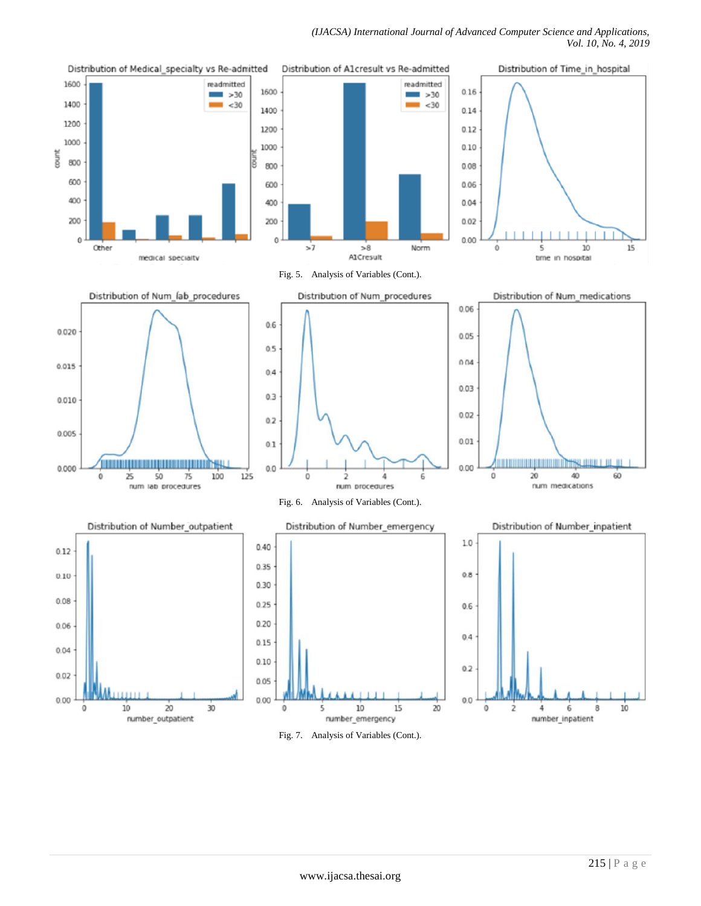#### *(IJACSA) International Journal of Advanced Computer Science and Applications, Vol. 10, No. 4, 2019*



Fig. 7. Analysis of Variables (Cont.).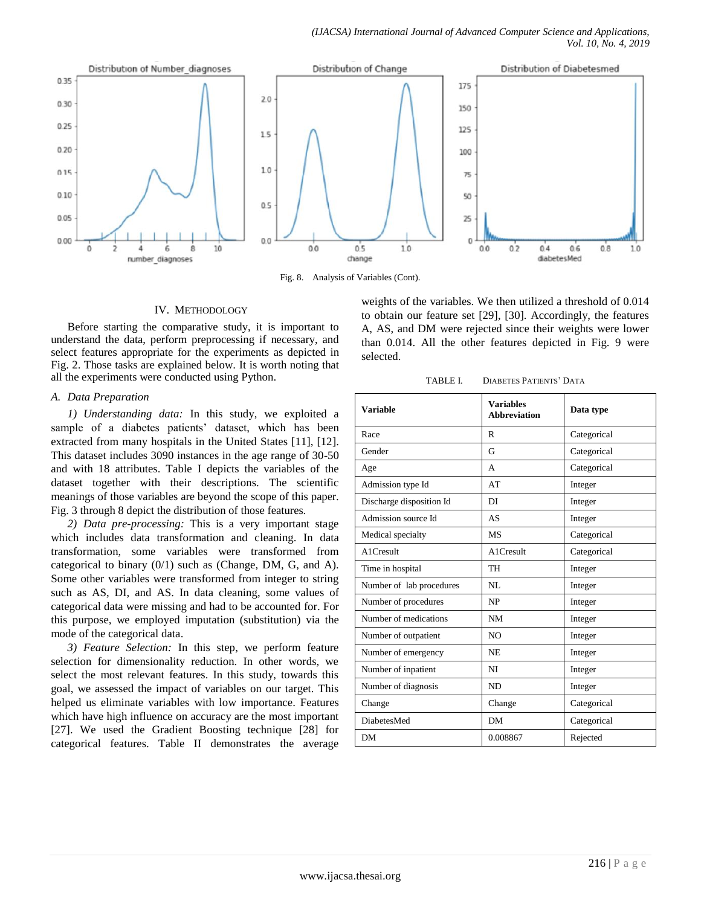

Fig. 8. Analysis of Variables (Cont).

### IV. METHODOLOGY

Before starting the comparative study, it is important to understand the data, perform preprocessing if necessary, and select features appropriate for the experiments as depicted in Fig. 2. Those tasks are explained below. It is worth noting that all the experiments were conducted using Python.

## *A. Data Preparation*

*1) Understanding data:* In this study, we exploited a sample of a diabetes patients' dataset, which has been extracted from many hospitals in the United States [11], [12]. This dataset includes 3090 instances in the age range of 30-50 and with 18 attributes. Table I depicts the variables of the dataset together with their descriptions. The scientific meanings of those variables are beyond the scope of this paper. Fig. 3 through 8 depict the distribution of those features.

*2) Data pre-processing:* This is a very important stage which includes data transformation and cleaning. In data transformation, some variables were transformed from categorical to binary (0/1) such as (Change, DM, G, and A). Some other variables were transformed from integer to string such as AS, DI, and AS. In data cleaning, some values of categorical data were missing and had to be accounted for. For this purpose, we employed imputation (substitution) via the mode of the categorical data.

*3) Feature Selection:* In this step, we perform feature selection for dimensionality reduction. In other words, we select the most relevant features. In this study, towards this goal, we assessed the impact of variables on our target. This helped us eliminate variables with low importance. Features which have high influence on accuracy are the most important [27]. We used the Gradient Boosting technique [28] for categorical features. Table II demonstrates the average

weights of the variables. We then utilized a threshold of 0.014 to obtain our feature set [29], [30]. Accordingly, the features A, AS, and DM were rejected since their weights were lower than 0.014. All the other features depicted in Fig. 9 were selected.

TABLE I. DIABETES PATIENTS" DATA

| <b>Variable</b>          | <b>Variables</b><br><b>Abbreviation</b> | Data type   |  |
|--------------------------|-----------------------------------------|-------------|--|
| Race                     | R                                       | Categorical |  |
| Gender                   | G                                       | Categorical |  |
| Age                      | A                                       | Categorical |  |
| Admission type Id        | AT                                      | Integer     |  |
| Discharge disposition Id | DI                                      | Integer     |  |
| Admission source Id      | AS                                      | Integer     |  |
| Medical specialty        | <b>MS</b>                               | Categorical |  |
| A1Cresult                | A1Cresult                               | Categorical |  |
| Time in hospital         | TH                                      | Integer     |  |
| Number of lab procedures | NL                                      | Integer     |  |
| Number of procedures     | NP                                      | Integer     |  |
| Number of medications    | <b>NM</b>                               | Integer     |  |
| Number of outpatient     | N <sub>O</sub>                          | Integer     |  |
| Number of emergency      | <b>NE</b>                               | Integer     |  |
| Number of inpatient      | NI                                      | Integer     |  |
| Number of diagnosis      | <b>ND</b>                               | Integer     |  |
| Change                   | Change                                  | Categorical |  |
| <b>DiabetesMed</b>       | <b>DM</b>                               | Categorical |  |
| DM                       | 0.008867                                | Rejected    |  |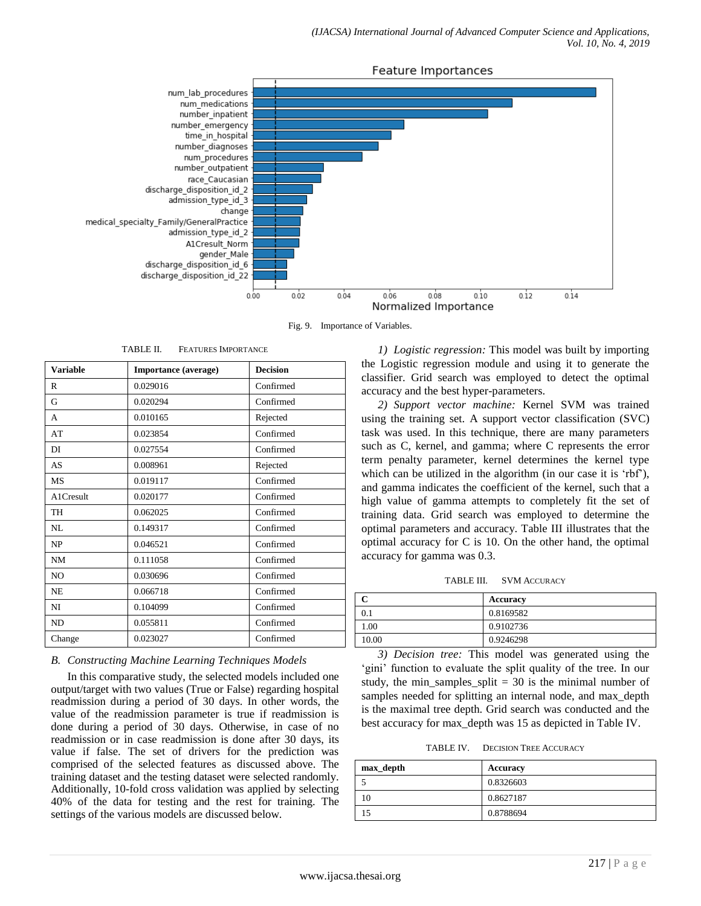

Fig. 9. Importance of Variables.

TABLE II. FEATURES IMPORTANCE

| <b>Variable</b> | Importance (average) | <b>Decision</b> |  |
|-----------------|----------------------|-----------------|--|
| R               | 0.029016             | Confirmed       |  |
| G               | 0.020294             | Confirmed       |  |
| A               | 0.010165             | Rejected        |  |
| AT              | 0.023854             | Confirmed       |  |
| DI              | 0.027554             | Confirmed       |  |
| AS              | 0.008961             | Rejected        |  |
| <b>MS</b>       | 0.019117             | Confirmed       |  |
| A1Cresult       | 0.020177             | Confirmed       |  |
| <b>TH</b>       | 0.062025             | Confirmed       |  |
| NL              | 0.149317             | Confirmed       |  |
| NP              | 0.046521             | Confirmed       |  |
| <b>NM</b>       | 0.111058             | Confirmed       |  |
| N <sub>O</sub>  | 0.030696             | Confirmed       |  |
| <b>NE</b>       | 0.066718             | Confirmed       |  |
| NI              | 0.104099             | Confirmed       |  |
| <b>ND</b>       | 0.055811             | Confirmed       |  |
| Change          | 0.023027             | Confirmed       |  |

## *B. Constructing Machine Learning Techniques Models*

In this comparative study, the selected models included one output/target with two values (True or False) regarding hospital readmission during a period of 30 days. In other words, the value of the readmission parameter is true if readmission is done during a period of 30 days. Otherwise, in case of no readmission or in case readmission is done after 30 days, its value if false. The set of drivers for the prediction was comprised of the selected features as discussed above. The training dataset and the testing dataset were selected randomly. Additionally, 10-fold cross validation was applied by selecting 40% of the data for testing and the rest for training. The settings of the various models are discussed below.

*1) Logistic regression:* This model was built by importing the Logistic regression module and using it to generate the classifier. Grid search was employed to detect the optimal accuracy and the best hyper-parameters.

*2) Support vector machine:* Kernel SVM was trained using the training set. A support vector classification (SVC) task was used. In this technique, there are many parameters such as C, kernel, and gamma; where C represents the error term penalty parameter, kernel determines the kernel type which can be utilized in the algorithm (in our case it is 'rbf'), and gamma indicates the coefficient of the kernel, such that a high value of gamma attempts to completely fit the set of training data. Grid search was employed to determine the optimal parameters and accuracy. Table III illustrates that the optimal accuracy for C is 10. On the other hand, the optimal accuracy for gamma was 0.3.

TABLE III. SVM ACCURACY

|       | Accuracy  |
|-------|-----------|
|       | 0.8169582 |
| .00   | 0.9102736 |
| 10.00 | 0.9246298 |

*3) Decision tree:* This model was generated using the 'gini' function to evaluate the split quality of the tree. In our study, the min samples split  $= 30$  is the minimal number of samples needed for splitting an internal node, and max\_depth is the maximal tree depth. Grid search was conducted and the best accuracy for max\_depth was 15 as depicted in Table IV.

TABLE IV. DECISION TREE ACCURACY

| max_depth | Accuracy  |
|-----------|-----------|
|           | 0.8326603 |
|           | 0.8627187 |
|           | 0.8788694 |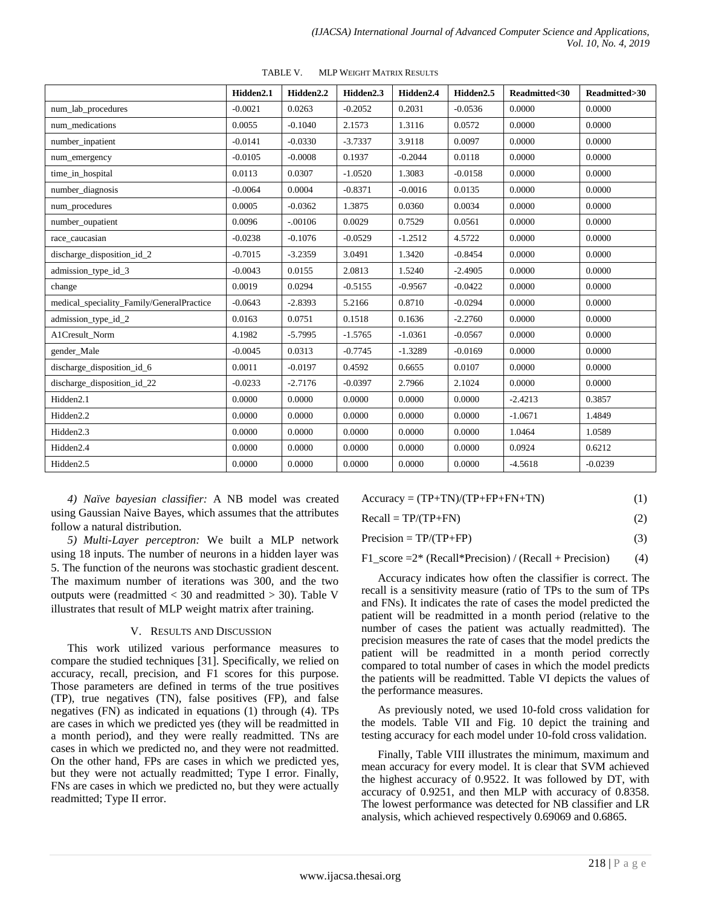|                                           | Hidden <sub>2.1</sub> | Hidden <sub>2.2</sub> | Hidden <sub>2.3</sub> | Hidden <sub>2.4</sub> | Hidden <sub>2.5</sub> | Readmitted<30 | Readmitted>30 |
|-------------------------------------------|-----------------------|-----------------------|-----------------------|-----------------------|-----------------------|---------------|---------------|
| num_lab_procedures                        | $-0.0021$             | 0.0263                | $-0.2052$             | 0.2031                | $-0.0536$             | 0.0000        | 0.0000        |
| num_medications                           | 0.0055                | $-0.1040$             | 2.1573                | 1.3116                | 0.0572                | 0.0000        | 0.0000        |
| number_inpatient                          | $-0.0141$             | $-0.0330$             | $-3.7337$             | 3.9118                | 0.0097                | 0.0000        | 0.0000        |
| num_emergency                             | $-0.0105$             | $-0.0008$             | 0.1937                | $-0.2044$             | 0.0118                | 0.0000        | 0.0000        |
| time_in_hospital                          | 0.0113                | 0.0307                | $-1.0520$             | 1.3083                | $-0.0158$             | 0.0000        | 0.0000        |
| number diagnosis                          | $-0.0064$             | 0.0004                | $-0.8371$             | $-0.0016$             | 0.0135                | 0.0000        | 0.0000        |
| num_procedures                            | 0.0005                | $-0.0362$             | 1.3875                | 0.0360                | 0.0034                | 0.0000        | 0.0000        |
| number_oupatient                          | 0.0096                | $-.00106$             | 0.0029                | 0.7529                | 0.0561                | 0.0000        | 0.0000        |
| race_caucasian                            | $-0.0238$             | $-0.1076$             | $-0.0529$             | $-1.2512$             | 4.5722                | 0.0000        | 0.0000        |
| discharge_disposition_id_2                | $-0.7015$             | $-3.2359$             | 3.0491                | 1.3420                | $-0.8454$             | 0.0000        | 0.0000        |
| admission_type_id_3                       | $-0.0043$             | 0.0155                | 2.0813                | 1.5240                | $-2.4905$             | 0.0000        | 0.0000        |
| change                                    | 0.0019                | 0.0294                | $-0.5155$             | $-0.9567$             | $-0.0422$             | 0.0000        | 0.0000        |
| medical_speciality_Family/GeneralPractice | $-0.0643$             | $-2.8393$             | 5.2166                | 0.8710                | $-0.0294$             | 0.0000        | 0.0000        |
| admission_type_id_2                       | 0.0163                | 0.0751                | 0.1518                | 0.1636                | $-2.2760$             | 0.0000        | 0.0000        |
| A1Cresult Norm                            | 4.1982                | $-5.7995$             | $-1.5765$             | $-1.0361$             | $-0.0567$             | 0.0000        | 0.0000        |
| gender_Male                               | $-0.0045$             | 0.0313                | $-0.7745$             | $-1.3289$             | $-0.0169$             | 0.0000        | 0.0000        |
| discharge_disposition_id_6                | 0.0011                | $-0.0197$             | 0.4592                | 0.6655                | 0.0107                | 0.0000        | 0.0000        |
| discharge_disposition_id_22               | $-0.0233$             | $-2.7176$             | $-0.0397$             | 2.7966                | 2.1024                | 0.0000        | 0.0000        |
| Hidden <sub>2.1</sub>                     | 0.0000                | 0.0000                | 0.0000                | 0.0000                | 0.0000                | $-2.4213$     | 0.3857        |
| Hidden <sub>2.2</sub>                     | 0.0000                | 0.0000                | 0.0000                | 0.0000                | 0.0000                | $-1.0671$     | 1.4849        |
| Hidden <sub>2.3</sub>                     | 0.0000                | 0.0000                | 0.0000                | 0.0000                | 0.0000                | 1.0464        | 1.0589        |
| Hidden2.4                                 | 0.0000                | 0.0000                | 0.0000                | 0.0000                | 0.0000                | 0.0924        | 0.6212        |
| Hidden <sub>2.5</sub>                     | 0.0000                | 0.0000                | 0.0000                | 0.0000                | 0.0000                | $-4.5618$     | $-0.0239$     |

TABLE V. MLP WEIGHT MATRIX RESULTS

*4) Naïve bayesian classifier:* A NB model was created using Gaussian Naive Bayes, which assumes that the attributes follow a natural distribution.

*5) Multi-Layer perceptron:* We built a MLP network using 18 inputs. The number of neurons in a hidden layer was 5. The function of the neurons was stochastic gradient descent. The maximum number of iterations was 300, and the two outputs were (readmitted  $<$  30 and readmitted  $>$  30). Table V illustrates that result of MLP weight matrix after training.

## V. RESULTS AND DISCUSSION

This work utilized various performance measures to compare the studied techniques [31]. Specifically, we relied on accuracy, recall, precision, and F1 scores for this purpose. Those parameters are defined in terms of the true positives (TP), true negatives (TN), false positives (FP), and false negatives (FN) as indicated in equations (1) through (4). TPs are cases in which we predicted yes (they will be readmitted in a month period), and they were really readmitted. TNs are cases in which we predicted no, and they were not readmitted. On the other hand, FPs are cases in which we predicted yes, but they were not actually readmitted; Type I error. Finally, FNs are cases in which we predicted no, but they were actually readmitted; Type II error.

| $Accuracy = (TP+TN)/(TP+FP+FN+TN)$ | (1) |
|------------------------------------|-----|
|                                    |     |

 $Recall = TP/(TP+FN)$  (2)

 $Precision = TP/(TP + FP)$  (3)

 $F1$ \_score = $2^*$  (Recall\*Precision) / (Recall + Precision) (4)

Accuracy indicates how often the classifier is correct. The recall is a sensitivity measure (ratio of TPs to the sum of TPs and FNs). It indicates the rate of cases the model predicted the patient will be readmitted in a month period (relative to the number of cases the patient was actually readmitted). The precision measures the rate of cases that the model predicts the patient will be readmitted in a month period correctly compared to total number of cases in which the model predicts the patients will be readmitted. Table VI depicts the values of the performance measures.

As previously noted, we used 10-fold cross validation for the models. Table VII and Fig. 10 depict the training and testing accuracy for each model under 10-fold cross validation.

Finally, Table VIII illustrates the minimum, maximum and mean accuracy for every model. It is clear that SVM achieved the highest accuracy of 0.9522. It was followed by DT, with accuracy of 0.9251, and then MLP with accuracy of 0.8358. The lowest performance was detected for NB classifier and LR analysis, which achieved respectively 0.69069 and 0.6865.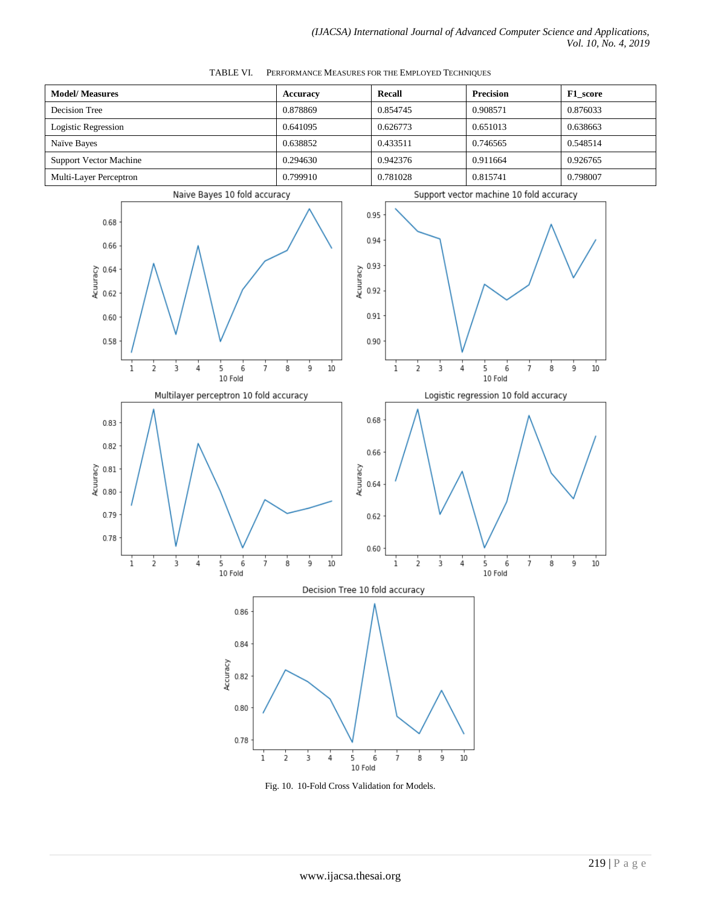| <b>Model/ Measures</b>        | <b>Accuracy</b> | <b>Recall</b> | <b>Precision</b> | F1 score |
|-------------------------------|-----------------|---------------|------------------|----------|
| Decision Tree                 | 0.878869        | 0.854745      | 0.908571         | 0.876033 |
| Logistic Regression           | 0.641095        | 0.626773      | 0.651013         | 0.638663 |
| Naïve Bayes                   | 0.638852        | 0.433511      | 0.746565         | 0.548514 |
| <b>Support Vector Machine</b> | 0.294630        | 0.942376      | 0.911664         | 0.926765 |
| Multi-Layer Perceptron        | 0.799910        | 0.781028      | 0.815741         | 0.798007 |

TABLE VI. PERFORMANCE MEASURES FOR THE EMPLOYED TECHNIQUES



Fig. 10. 10-Fold Cross Validation for Models.